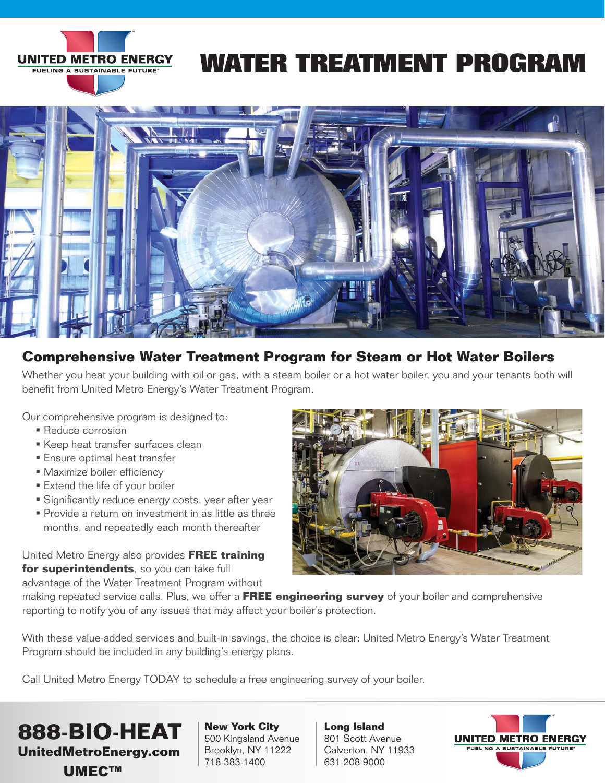

## **WATER TREATMENT PROGRAM**



### **Comprehensive Water Treatment Program for Steam or Hot Water Boilers**

Whether you heat your building with oil or gas, with a steam boiler or a hot water boiler, you and your tenants both will benefit from United Metro Energy's Water Treatment Program.

Our comprehensive program is designed to:

- **Reduce corrosion**
- **Keep heat transfer surfaces clean**
- **Ensure optimal heat transfer**
- **Maximize boiler efficiency**
- **Extend the life of your boiler**
- **Significantly reduce energy costs, year after year**
- **Provide a return on investment in as little as three** months, and repeatedly each month thereafter

United Metro Energy also provides **FREE training for superintendents**, so you can take full

advantage of the Water Treatment Program without



making repeated service calls. Plus, we offer a **FREE engineering survey** of your boiler and comprehensive reporting to notify you of any issues that may affect your boiler's protection.

With these value-added services and built-in savings, the choice is clear: United Metro Energy's Water Treatment Program should be included in any building's energy plans.

Call United Metro Energy TODAY to schedule a free engineering survey of your boiler.



**New York City** 500 Kingsland Avenue Brooklyn, NY 11222 718-383-1400

**Long Island** 801 Scott Avenue Calverton, NY 11933 631-208-9000